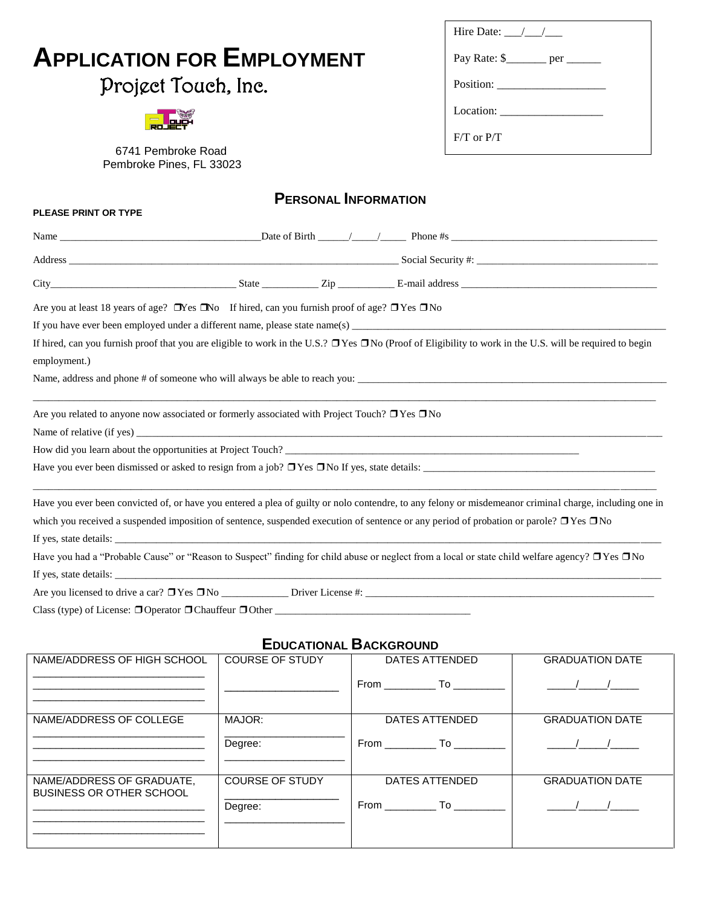|                                                                                                                                                                     | Hire Date: $\frac{1}{\sqrt{1-\frac{1}{2}}}$<br>Pay Rate: \$_______ per ______<br>$F/T$ or $P/T$ |                               |  |                        |
|---------------------------------------------------------------------------------------------------------------------------------------------------------------------|-------------------------------------------------------------------------------------------------|-------------------------------|--|------------------------|
| <b>APPLICATION FOR EMPLOYMENT</b>                                                                                                                                   |                                                                                                 |                               |  |                        |
| Project Touch, Inc.                                                                                                                                                 |                                                                                                 |                               |  |                        |
|                                                                                                                                                                     |                                                                                                 |                               |  |                        |
|                                                                                                                                                                     |                                                                                                 |                               |  |                        |
| 6741 Pembroke Road<br>Pembroke Pines, FL 33023                                                                                                                      |                                                                                                 |                               |  |                        |
| <b>PLEASE PRINT OR TYPE</b>                                                                                                                                         |                                                                                                 | <b>PERSONAL INFORMATION</b>   |  |                        |
|                                                                                                                                                                     |                                                                                                 |                               |  |                        |
|                                                                                                                                                                     |                                                                                                 |                               |  |                        |
|                                                                                                                                                                     |                                                                                                 |                               |  |                        |
| Are you at least 18 years of age? $\Box$ Yes $\Box$ No If hired, can you furnish proof of age? $\Box$ Yes $\Box$ No                                                 |                                                                                                 |                               |  |                        |
|                                                                                                                                                                     |                                                                                                 |                               |  |                        |
| If hired, can you furnish proof that you are eligible to work in the U.S.? $\Box$ Yes $\Box$ No (Proof of Eligibility to work in the U.S. will be required to begin |                                                                                                 |                               |  |                        |
| employment.)                                                                                                                                                        |                                                                                                 |                               |  |                        |
|                                                                                                                                                                     |                                                                                                 |                               |  |                        |
| Are you related to anyone now associated or formerly associated with Project Touch? $\Box$ Yes $\Box$ No                                                            |                                                                                                 |                               |  |                        |
|                                                                                                                                                                     |                                                                                                 |                               |  |                        |
| How did you learn about the opportunities at Project Touch?                                                                                                         |                                                                                                 |                               |  |                        |
|                                                                                                                                                                     |                                                                                                 |                               |  |                        |
| Have you ever been convicted of, or have you entered a plea of guilty or nolo contendre, to any felony or misdemeanor criminal charge, including one in             |                                                                                                 |                               |  |                        |
| which you received a suspended imposition of sentence, suspended execution of sentence or any period of probation or parole? □ Yes □ No                             |                                                                                                 |                               |  |                        |
|                                                                                                                                                                     |                                                                                                 |                               |  |                        |
| Have you had a "Probable Cause" or "Reason to Suspect" finding for child abuse or neglect from a local or state child welfare agency? □ Yes □ No                    |                                                                                                 |                               |  |                        |
| If yes, state details:                                                                                                                                              |                                                                                                 |                               |  |                        |
|                                                                                                                                                                     |                                                                                                 |                               |  |                        |
|                                                                                                                                                                     |                                                                                                 |                               |  |                        |
|                                                                                                                                                                     |                                                                                                 | <b>EDUCATIONAL BACKGROUND</b> |  |                        |
| NAME/ADDRESS OF HIGH SCHOOL                                                                                                                                         | <b>COURSE OF STUDY</b>                                                                          | <b>DATES ATTENDED</b>         |  | <b>GRADUATION DATE</b> |
|                                                                                                                                                                     |                                                                                                 |                               |  | $\sqrt{1}$             |
| NAME/ADDRESS OF COLLEGE                                                                                                                                             | MAJOR:                                                                                          | DATES ATTENDED                |  | <b>GRADUATION DATE</b> |
|                                                                                                                                                                     | Degree:                                                                                         |                               |  |                        |
|                                                                                                                                                                     |                                                                                                 |                               |  |                        |
| NAME/ADDRESS OF GRADUATE,<br>BUSINESS OR OTHER SCHOOL                                                                                                               | <b>COURSE OF STUDY</b>                                                                          | <b>DATES ATTENDED</b>         |  | <b>GRADUATION DATE</b> |
|                                                                                                                                                                     | Degree:                                                                                         |                               |  |                        |

\_\_\_\_\_\_\_\_\_\_\_\_\_\_\_\_\_\_\_\_\_\_\_\_\_\_\_\_\_\_ \_\_\_\_\_\_\_\_\_\_\_\_\_\_\_\_\_\_\_\_\_\_\_\_\_\_\_\_\_\_ \_\_\_\_\_\_\_\_\_\_\_\_\_\_\_\_\_\_\_\_\_\_\_\_\_\_\_\_\_\_ Degree:

\_\_\_\_\_\_\_\_\_\_\_\_\_\_\_\_\_\_\_\_\_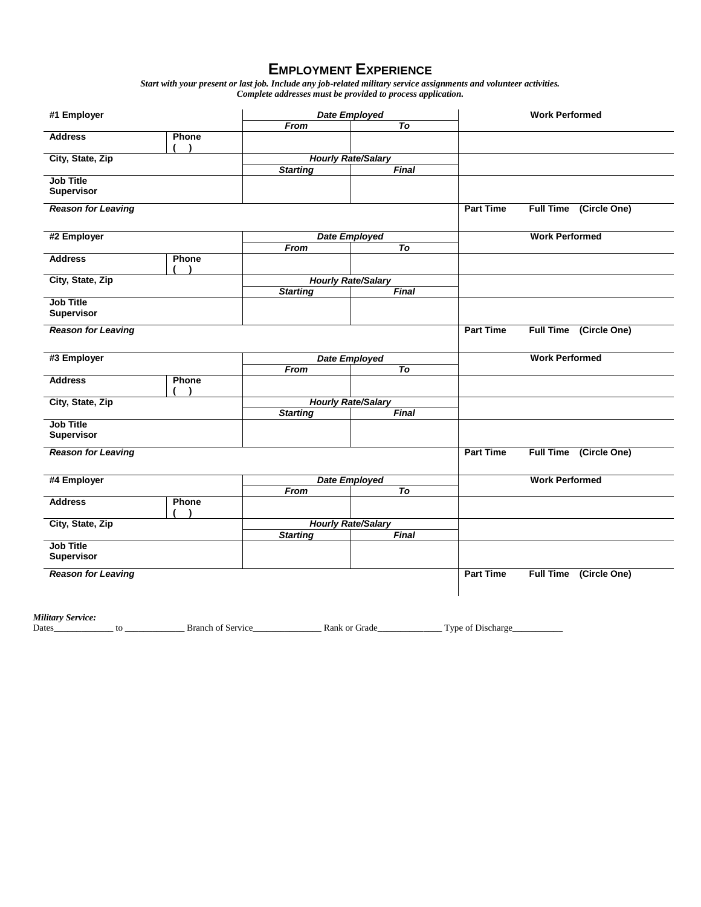## **EMPLOYMENT EXPERIENCE**

*Start with your present or last job. Include any job-related military service assignments and volunteer activities. Complete addresses must be provided to process application.*

| #1 Employer                           |                           | <b>Date Employed</b>      |                 | <b>Work Performed</b> |                                  |  |
|---------------------------------------|---------------------------|---------------------------|-----------------|-----------------------|----------------------------------|--|
|                                       |                           | From                      | $\overline{To}$ |                       |                                  |  |
| <b>Address</b>                        | Phone                     |                           |                 |                       |                                  |  |
| City, State, Zip                      |                           | <b>Hourly Rate/Salary</b> |                 |                       |                                  |  |
|                                       |                           | <b>Starting</b>           | Final           |                       |                                  |  |
| <b>Job Title</b><br><b>Supervisor</b> |                           |                           |                 |                       |                                  |  |
| <b>Reason for Leaving</b>             |                           |                           |                 | <b>Part Time</b>      | Full Time (Circle One)           |  |
| #2 Employer                           |                           | <b>Date Employed</b>      |                 |                       | <b>Work Performed</b>            |  |
|                                       |                           | From                      | T <sub>o</sub>  |                       |                                  |  |
| <b>Address</b>                        | Phone                     |                           |                 |                       |                                  |  |
| City, State, Zip                      |                           | <b>Hourly Rate/Salary</b> |                 |                       |                                  |  |
|                                       |                           | <b>Starting</b>           | Final           |                       |                                  |  |
| <b>Job Title</b><br><b>Supervisor</b> |                           |                           |                 |                       |                                  |  |
| <b>Reason for Leaving</b>             |                           |                           |                 | <b>Part Time</b>      | Full Time (Circle One)           |  |
| #3 Employer                           |                           | <b>Date Employed</b>      |                 |                       | <b>Work Performed</b>            |  |
|                                       |                           | From                      | $\overline{To}$ |                       |                                  |  |
| <b>Address</b>                        | Phone                     |                           |                 |                       |                                  |  |
| City, State, Zip                      | <b>Hourly Rate/Salary</b> |                           |                 |                       |                                  |  |
|                                       |                           | <b>Starting</b>           | Final           |                       |                                  |  |
| <b>Job Title</b><br><b>Supervisor</b> |                           |                           |                 |                       |                                  |  |
| <b>Reason for Leaving</b>             |                           |                           |                 | <b>Part Time</b>      | <b>Full Time</b><br>(Circle One) |  |
| #4 Employer                           |                           | <b>Date Employed</b>      |                 |                       | <b>Work Performed</b>            |  |
|                                       |                           | From                      | To              |                       |                                  |  |
| <b>Address</b>                        | Phone                     |                           |                 |                       |                                  |  |
| City, State, Zip                      |                           | <b>Hourly Rate/Salary</b> |                 |                       |                                  |  |
|                                       |                           | <b>Starting</b>           | <b>Final</b>    |                       |                                  |  |
| <b>Job Title</b><br>Supervisor        |                           |                           |                 |                       |                                  |  |
| <b>Reason for Leaving</b>             |                           |                           |                 | <b>Part Time</b>      | <b>Full Time</b><br>(Circle One) |  |
|                                       |                           |                           |                 |                       |                                  |  |

*Military Service:*

Dates\_\_\_\_\_\_\_\_\_\_\_\_\_ to \_\_\_\_\_\_\_\_\_\_\_\_\_ Branch of Service\_\_\_\_\_\_\_\_\_\_\_\_\_\_\_ Rank or Grade\_\_\_\_\_\_\_\_\_\_\_\_\_\_ Type of Discharge\_\_\_\_\_\_\_\_\_\_\_